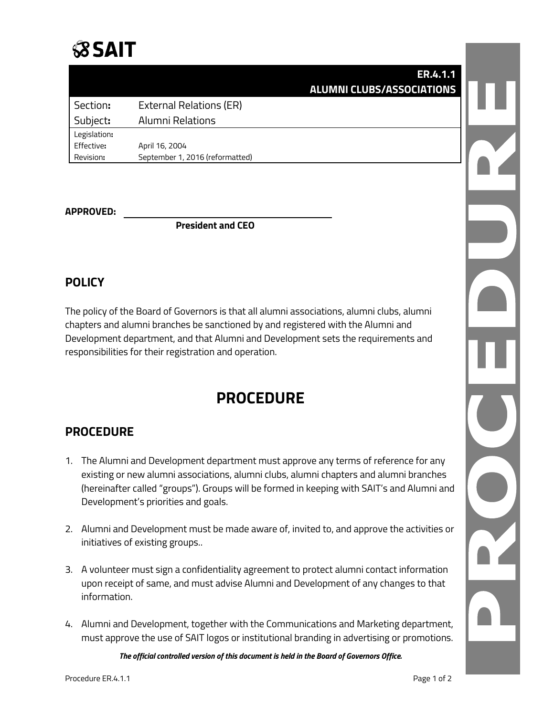## **SSAIT**

| <b>ER.4.1.1</b><br><b>ALUMNI CLUBS/ASSOCIATIONS</b> |                                 |              |
|-----------------------------------------------------|---------------------------------|--------------|
|                                                     | External Relations (ER)         | Section:     |
|                                                     | Alumni Relations                | Subject:     |
|                                                     |                                 | Legislation: |
|                                                     | April 16, 2004                  | Effective:   |
|                                                     | September 1, 2016 (reformatted) | Revision:    |
|                                                     |                                 |              |

#### **APPROVED:**

**President and CEO**

### **POLICY**

The policy of the Board of Governors is that all alumni associations, alumni clubs, alumni chapters and alumni branches be sanctioned by and registered with the Alumni and Development department, and that Alumni and Development sets the requirements and responsibilities for their registration and operation.

## **PROCEDURE**

### **PROCEDURE**

- 1. The Alumni and Development department must approve any terms of reference for any existing or new alumni associations, alumni clubs, alumni chapters and alumni branches (hereinafter called "groups"). Groups will be formed in keeping with SAIT's and Alumni and Development's priorities and goals.
- 2. Alumni and Development must be made aware of, invited to, and approve the activities or initiatives of existing groups..
- 3. A volunteer must sign a confidentiality agreement to protect alumni contact information upon receipt of same, and must advise Alumni and Development of any changes to that information.
- 4. Alumni and Development, together with the Communications and Marketing department, must approve the use of SAIT logos or institutional branding in advertising or promotions.

*The official controlled version of this document is held in the Board of Governors Office.*